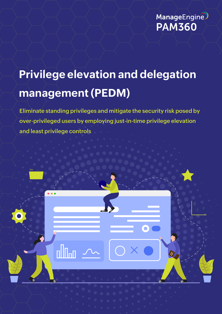

# **Privilege elevation and delegation management (PEDM)**

**Eliminate standing privileges and mitigate the security risk posed by over-privileged users by employing just-in-time privilege elevation and least privilege controls** 

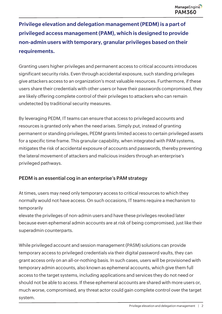**Privilege elevation and delegation management (PEDM) is a part of privileged access management (PAM), which is designed to provide non-admin users with temporary, granular privileges based on their requirements.** 

Granting users higher privileges and permanent access to critical accounts introduces significant security risks. Even through accidental exposure, such standing privileges give attackers access to an organization's most valuable resources. Furthermore, if these users share their credentials with other users or have their passwords compromised, they are likely offering complete control of their privileges to attackers who can remain undetected by traditional security measures.

By leveraging PEDM, IT teams can ensure that access to privileged accounts and resources is granted only when the need arises. Simply put, instead of granting permanent or standing privileges, PEDM grants limited access to certain privileged assets for a specific time frame. This granular capability, when integrated with PAM systems, mitigates the risk of accidental exposure of accounts and passwords, thereby preventing the lateral movement of attackers and malicious insiders through an enterprise's privileged pathways.

# **PEDM is an essential cog in an enterprise's PAM strategy**

At times, users may need only temporary access to critical resources to which they normally would not have access. On such occasions, IT teams require a mechanism to temporarily

elevate the privileges of non-admin users and have these privileges revoked later because even ephemeral admin accounts are at risk of being compromised, just like their superadmin counterparts.

While privileged account and session management (PASM) solutions can provide temporary access to privileged credentials via their digital password vaults, they can grant access only on an all-or-nothing basis. In such cases, users will be provisioned with temporary admin accounts, also known as ephemeral accounts, which give them full access to the target systems, including applications and services they do not need or should not be able to access. If these ephemeral accounts are shared with more users or, much worse, compromised, any threat actor could gain complete control over the target system.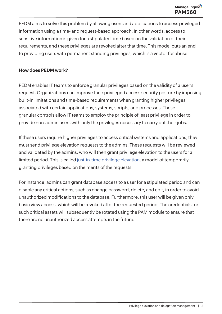PEDM aims to solve this problem by allowing users and applications to access privileged information using a time- and request-based approach. In other words, access to sensitive information is given for a stipulated time based on the validation of their requirements, and these privileges are revoked after that time. This model puts an end to providing users with permanent standing privileges, which is a vector for abuse.

#### **How does PEDM work?**

PEDM enables IT teams to enforce granular privileges based on the validity of a user's request. Organizations can improve their privileged access security posture by imposing built-in limitations and time-based requirements when granting higher privileges associated with certain applications, systems, scripts, and processes. These granular controls allow IT teams to employ the principle of least privilege in order to provide non-admin users with only the privileges necessary to carry out their jobs.

If these users require higher privileges to access critical systems and applications, they must send privilege elevation requests to the admins. These requests will be reviewed and validated by the admins, who will then grant privilege elevation to the users for a limited period. This is called [just-in-time privilege elevation,](https://www.manageengine.com/privileged-access-management/privilege-elevation.html) a model of temporarily granting privileges based on the merits of the requests.

For instance, admins can grant database access to a user for a stipulated period and can disable any critical actions, such as change password, delete, and edit, in order to avoid unauthorized modifications to the database. Furthermore, this user will be given only basic view access, which will be revoked after the requested period. The credentials for such critical assets will subsequently be rotated using the PAM module to ensure that there are no unauthorized access attempts in the future.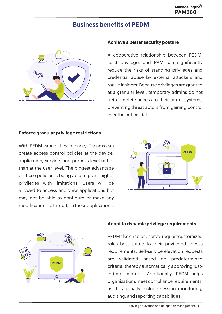#### ManageEngine [PAM360](https://www.manageengine.com/privileged-access-management/)

# **Business benefits of PEDM**



#### **Achieve a better security posture**

A cooperative relationship between PEDM, least privilege, and PAM can significantly reduce the risks of standing privileges and credential abuse by external attackers and rogue insiders. Because privileges are granted at a granular level, temporary admins do not get complete access to their target systems, preventing threat actors from gaining control over the critical data.

#### **Enforce granular privilege restrictions**

With PEDM capabilities in place, IT teams can create access control policies at the device, application, service, and process level rather than at the user level. The biggest advantage of these policies is being able to grant higher privileges with limitations. Users will be allowed to access and view applications but may not be able to configure or make any modifications to the data in those applications.





#### **Adapt to dynamic privilege requirements**

PEDM also enables users to request customized roles best suited to their privileged access requirements. Self-service elevation requests are validated based on predetermined criteria, thereby automatically approving justin-time controls. Additionally, PEDM helps organizations meet compliance requirements, as they usually include session monitoring, auditing, and reporting capabilities.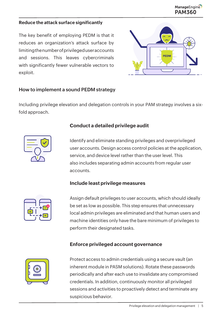#### **Reduce the attack surface significantly**

The key benefit of employing PEDM is that it reduces an organization's attack surface by limiting the number of privileged user accounts and sessions. This leaves cybercriminals with significantly fewer vulnerable vectors to exploit.



#### **How to implement a sound PEDM strategy**

Including privilege elevation and delegation controls in your PAM strategy involves a sixfold approach.



#### **Conduct a detailed privilege audit**

Identify and eliminate standing privileges and overprivileged user accounts. Design access control policies at the application, service, and device level rather than the user level. This also includes separating admin accounts from regular user accounts.

#### **Include least privilege measures**



Assign default privileges to user accounts, which should ideally be set as low as possible. This step ensures that unnecessary local admin privileges are eliminated and that human users and machine identities only have the bare minimum of privileges to perform their designated tasks.

# **Enforce privileged account governance**



Protect access to admin credentials using a secure vault (an inherent module in PASM solutions). Rotate these passwords periodically and after each use to invalidate any compromised credentials. In addition, continuously monitor all privileged sessions and activities to proactively detect and terminate any suspicious behavior.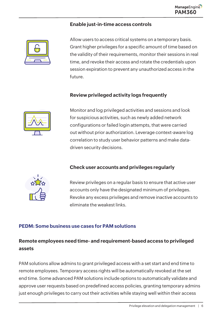#### **Enable just-in-time access controls**



Allow users to access critical systems on a temporary basis. Grant higher privileges for a specific amount of time based on the validity of their requirements, monitor their sessions in real time, and revoke their access and rotate the credentials upon session expiration to prevent any unauthorized access in the future.

# **Review privileged activity logs frequently**



Monitor and log privileged activities and sessions and look for suspicious activities, such as newly added network configurations or failed login attempts, that were carried out without prior authorization. Leverage context-aware log correlation to study user behavior patterns and make datadriven security decisions.

# **Check user accounts and privileges regularly**



Review privileges on a regular basis to ensure that active user accounts only have the designated minimum of privileges. Revoke any excess privileges and remove inactive accounts to eliminate the weakest links.

# **PEDM: Some business use cases for PAM solutions**

# **Remote employees need time- and requirement-based access to privileged assets**

PAM solutions allow admins to grant privileged access with a set start and end time to remote employees. Temporary access rights will be automatically revoked at the set end time. Some advanced PAM solutions include options to automatically validate and approve user requests based on predefined access policies, granting temporary admins just enough privileges to carry out their activities while staying well within their access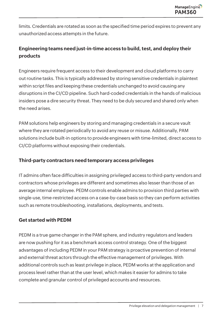limits. Credentials are rotated as soon as the specified time period expires to prevent any unauthorized access attempts in the future.

# **Engineering teams need just-in-time access to build, test, and deploy their products**

Engineers require frequent access to their development and cloud platforms to carry out routine tasks. This is typically addressed by storing sensitive credentials in plaintext within script files and keeping these credentials unchanged to avoid causing any disruptions in the CI/CD pipeline. Such hard-coded credentials in the hands of malicious insiders pose a dire security threat. They need to be duly secured and shared only when the need arises.

PAM solutions help engineers by storing and managing credentials in a secure vault where they are rotated periodically to avoid any reuse or misuse. Additionally, PAM solutions include built-in options to provide engineers with time-limited, direct access to CI/CD platforms without exposing their credentials.

# **Third-party contractors need temporary access privileges**

IT admins often face difficulties in assigning privileged access to third-party vendors and contractors whose privileges are different and sometimes also lesser than those of an average internal employee. PEDM controls enable admins to provision third parties with single-use, time-restricted access on a case-by-case basis so they can perform activities such as remote troubleshooting, installations, deployments, and tests.

#### **Get started with PEDM**

PEDM is a true game changer in the PAM sphere, and industry regulators and leaders are now pushing for it as a benchmark access control strategy. One of the biggest advantages of including PEDM in your PAM strategy is proactive prevention of internal and external threat actors through the effective management of privileges. With additional controls such as least privilege in place, PEDM works at the application and process level rather than at the user level, which makes it easier for admins to take complete and granular control of privileged accounts and resources.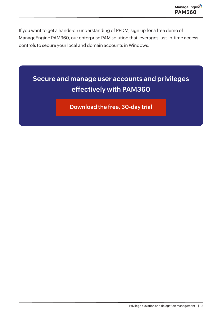If you want to get a hands-on understanding of PEDM, sign up for a free demo of ManageEngine PAM360, our enterprise PAM solution that leverages just-in-time access controls to secure your local and domain accounts in Windows.

# **Secure and manage user accounts and privileges effectively with PAM360**

**[Download the free, 30-day trial](https://www.manageengine.com/privileged-access-management/download.html?utm_source=referral+&utm_medium=PDF&utm_campaign=Fundamental-PEDM)**